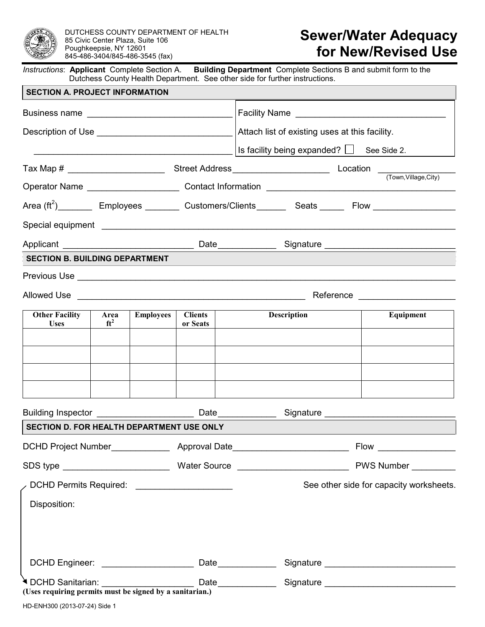

DUTCHESS COUNTY DEPARTMENT OF HEALTH 85 Civic Center Plaza, Suite 106 Poughkeepsie, NY 12601 845-486-3404/845-486-3545 (fax)

# **Sewer/Water Adequacy for New/Revised Use**

*Instructions*: **Applicant** Complete Section A. **Building Department** Complete Sections B and submit form to the Dutchess County Health Department. See other side for further instructions.

| <b>SECTION A. PROJECT INFORMATION</b>            |                                |           |                            |                                                                                                                      |                                                |  |                                         |  |  |
|--------------------------------------------------|--------------------------------|-----------|----------------------------|----------------------------------------------------------------------------------------------------------------------|------------------------------------------------|--|-----------------------------------------|--|--|
|                                                  |                                |           |                            |                                                                                                                      |                                                |  |                                         |  |  |
|                                                  |                                |           |                            | Attach list of existing uses at this facility.                                                                       |                                                |  |                                         |  |  |
|                                                  |                                |           |                            |                                                                                                                      | Is facility being expanded? $\Box$ See Side 2. |  |                                         |  |  |
|                                                  |                                |           |                            |                                                                                                                      |                                                |  |                                         |  |  |
|                                                  |                                |           |                            |                                                                                                                      |                                                |  |                                         |  |  |
|                                                  |                                |           |                            | Area (ft <sup>2</sup> ) _________ Employees ________ Customers/Clients _______ Seats ______ Flow ___________________ |                                                |  |                                         |  |  |
|                                                  |                                |           |                            |                                                                                                                      |                                                |  |                                         |  |  |
|                                                  |                                |           |                            |                                                                                                                      |                                                |  |                                         |  |  |
| <b>SECTION B. BUILDING DEPARTMENT</b>            |                                |           |                            |                                                                                                                      |                                                |  |                                         |  |  |
|                                                  |                                |           |                            |                                                                                                                      |                                                |  |                                         |  |  |
|                                                  |                                |           |                            |                                                                                                                      |                                                |  |                                         |  |  |
| <b>Other Facility</b><br><b>Uses</b>             | Area<br>$\int$ ft <sup>2</sup> | Employees | <b>Clients</b><br>or Seats |                                                                                                                      | Description                                    |  | Equipment                               |  |  |
|                                                  |                                |           |                            |                                                                                                                      |                                                |  |                                         |  |  |
|                                                  |                                |           |                            |                                                                                                                      |                                                |  |                                         |  |  |
|                                                  |                                |           |                            |                                                                                                                      |                                                |  |                                         |  |  |
|                                                  |                                |           |                            |                                                                                                                      |                                                |  |                                         |  |  |
|                                                  |                                |           |                            |                                                                                                                      |                                                |  |                                         |  |  |
| <b>SECTION D. FOR HEALTH DEPARTMENT USE ONLY</b> |                                |           |                            |                                                                                                                      |                                                |  |                                         |  |  |
|                                                  |                                |           |                            |                                                                                                                      |                                                |  | $Flow$ ____________________             |  |  |
|                                                  |                                |           |                            |                                                                                                                      |                                                |  |                                         |  |  |
| DCHD Permits Required: ______________________    |                                |           |                            |                                                                                                                      |                                                |  | See other side for capacity worksheets. |  |  |
| Disposition:                                     |                                |           |                            |                                                                                                                      |                                                |  |                                         |  |  |
|                                                  |                                |           |                            |                                                                                                                      |                                                |  |                                         |  |  |
|                                                  |                                |           |                            |                                                                                                                      |                                                |  |                                         |  |  |
|                                                  |                                |           |                            |                                                                                                                      |                                                |  |                                         |  |  |
|                                                  |                                |           |                            |                                                                                                                      |                                                |  |                                         |  |  |
|                                                  |                                |           |                            |                                                                                                                      |                                                |  |                                         |  |  |